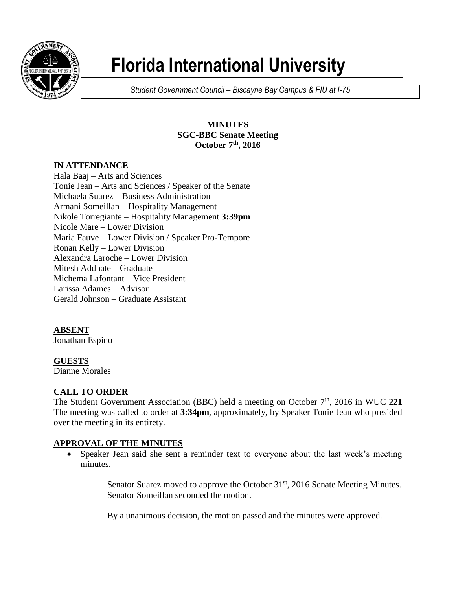

# **Florida International University**

*Student Government Council – Biscayne Bay Campus & FIU at I-75*

## **MINUTES SGC-BBC Senate Meeting October 7th , 2016**

# **IN ATTENDANCE**

Hala Baaj – Arts and Sciences Tonie Jean – Arts and Sciences / Speaker of the Senate Michaela Suarez – Business Administration Armani Someillan – Hospitality Management Nikole Torregiante – Hospitality Management **3:39pm** Nicole Mare – Lower Division Maria Fauve – Lower Division / Speaker Pro-Tempore Ronan Kelly – Lower Division Alexandra Laroche – Lower Division Mitesh Addhate – Graduate Michema Lafontant – Vice President Larissa Adames – Advisor Gerald Johnson – Graduate Assistant

# **ABSENT**

Jonathan Espino

# **GUESTS**

Dianne Morales

# **CALL TO ORDER**

The Student Government Association (BBC) held a meeting on October 7<sup>th</sup>, 2016 in WUC 221 The meeting was called to order at **3:34pm**, approximately, by Speaker Tonie Jean who presided over the meeting in its entirety.

# **APPROVAL OF THE MINUTES**

 Speaker Jean said she sent a reminder text to everyone about the last week's meeting minutes.

> Senator Suarez moved to approve the October 31<sup>st</sup>, 2016 Senate Meeting Minutes. Senator Someillan seconded the motion.

By a unanimous decision, the motion passed and the minutes were approved.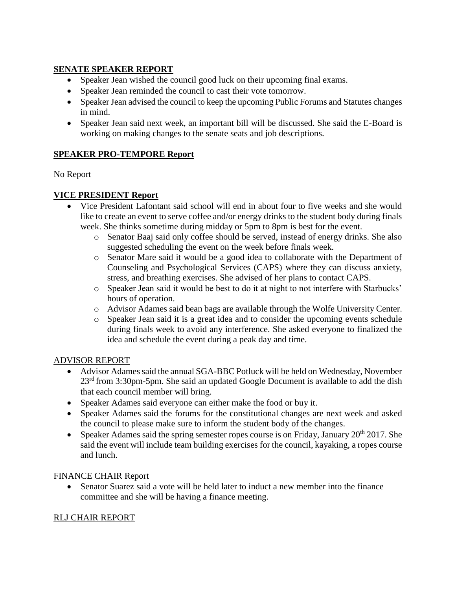## **SENATE SPEAKER REPORT**

- Speaker Jean wished the council good luck on their upcoming final exams.
- Speaker Jean reminded the council to cast their vote tomorrow.
- Speaker Jean advised the council to keep the upcoming Public Forums and Statutes changes in mind.
- Speaker Jean said next week, an important bill will be discussed. She said the E-Board is working on making changes to the senate seats and job descriptions.

## **SPEAKER PRO-TEMPORE Report**

No Report

## **VICE PRESIDENT Report**

- Vice President Lafontant said school will end in about four to five weeks and she would like to create an event to serve coffee and/or energy drinks to the student body during finals week. She thinks sometime during midday or 5pm to 8pm is best for the event.
	- o Senator Baaj said only coffee should be served, instead of energy drinks. She also suggested scheduling the event on the week before finals week.
	- o Senator Mare said it would be a good idea to collaborate with the Department of Counseling and Psychological Services (CAPS) where they can discuss anxiety, stress, and breathing exercises. She advised of her plans to contact CAPS.
	- o Speaker Jean said it would be best to do it at night to not interfere with Starbucks' hours of operation.
	- o Advisor Adames said bean bags are available through the Wolfe University Center.
	- o Speaker Jean said it is a great idea and to consider the upcoming events schedule during finals week to avoid any interference. She asked everyone to finalized the idea and schedule the event during a peak day and time.

## ADVISOR REPORT

- Advisor Adames said the annual SGA-BBC Potluck will be held on Wednesday, November 23<sup>rd</sup> from 3:30pm-5pm. She said an updated Google Document is available to add the dish that each council member will bring.
- Speaker Adames said everyone can either make the food or buy it.
- Speaker Adames said the forums for the constitutional changes are next week and asked the council to please make sure to inform the student body of the changes.
- Speaker Adames said the spring semester ropes course is on Friday, January  $20^{th}$  2017. She said the event will include team building exercises for the council, kayaking, a ropes course and lunch.

## FINANCE CHAIR Report

 Senator Suarez said a vote will be held later to induct a new member into the finance committee and she will be having a finance meeting.

## RLJ CHAIR REPORT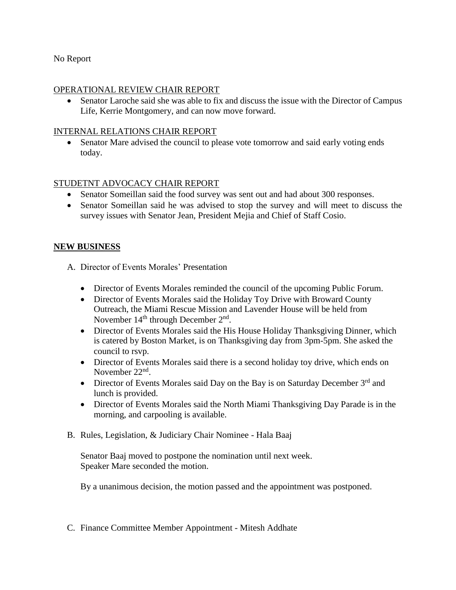#### No Report

#### OPERATIONAL REVIEW CHAIR REPORT

 Senator Laroche said she was able to fix and discuss the issue with the Director of Campus Life, Kerrie Montgomery, and can now move forward.

#### INTERNAL RELATIONS CHAIR REPORT

 Senator Mare advised the council to please vote tomorrow and said early voting ends today.

#### STUDETNT ADVOCACY CHAIR REPORT

- Senator Someillan said the food survey was sent out and had about 300 responses.
- Senator Someillan said he was advised to stop the survey and will meet to discuss the survey issues with Senator Jean, President Mejia and Chief of Staff Cosio.

#### **NEW BUSINESS**

A. Director of Events Morales' Presentation

- Director of Events Morales reminded the council of the upcoming Public Forum.
- Director of Events Morales said the Holiday Toy Drive with Broward County Outreach, the Miami Rescue Mission and Lavender House will be held from November  $14<sup>th</sup>$  through December  $2<sup>nd</sup>$ .
- Director of Events Morales said the His House Holiday Thanksgiving Dinner, which is catered by Boston Market, is on Thanksgiving day from 3pm-5pm. She asked the council to rsvp.
- Director of Events Morales said there is a second holiday toy drive, which ends on November 22<sup>nd</sup>.
- Director of Events Morales said Day on the Bay is on Saturday December  $3<sup>rd</sup>$  and lunch is provided.
- Director of Events Morales said the North Miami Thanksgiving Day Parade is in the morning, and carpooling is available.
- B. Rules, Legislation, & Judiciary Chair Nominee Hala Baaj

Senator Baaj moved to postpone the nomination until next week. Speaker Mare seconded the motion.

By a unanimous decision, the motion passed and the appointment was postponed.

C. Finance Committee Member Appointment - Mitesh Addhate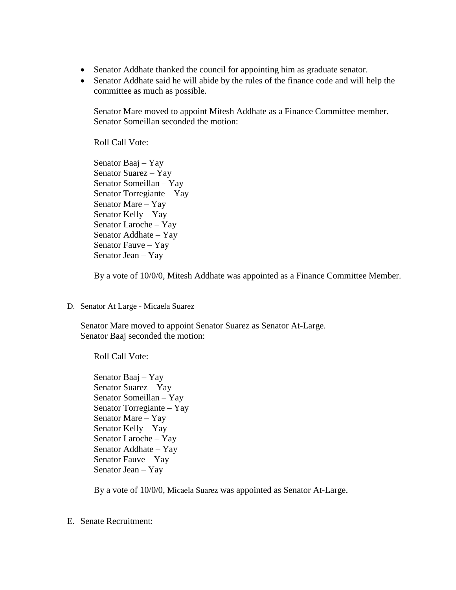- Senator Addhate thanked the council for appointing him as graduate senator.
- Senator Addhate said he will abide by the rules of the finance code and will help the committee as much as possible.

Senator Mare moved to appoint Mitesh Addhate as a Finance Committee member. Senator Someillan seconded the motion:

Roll Call Vote:

Senator Baaj – Yay Senator Suarez – Yay Senator Someillan – Yay Senator Torregiante – Yay Senator Mare – Yay Senator Kelly – Yay Senator Laroche – Yay Senator Addhate – Yay Senator Fauve – Yay Senator Jean – Yay

By a vote of 10/0/0, Mitesh Addhate was appointed as a Finance Committee Member.

D. Senator At Large - Micaela Suarez

Senator Mare moved to appoint Senator Suarez as Senator At-Large. Senator Baaj seconded the motion:

Roll Call Vote:

Senator Baaj – Yay Senator Suarez – Yay Senator Someillan – Yay Senator Torregiante – Yay Senator Mare – Yay Senator Kelly – Yay Senator Laroche – Yay Senator Addhate – Yay Senator Fauve – Yay Senator Jean – Yay

By a vote of 10/0/0, Micaela Suarez was appointed as Senator At-Large.

E. Senate Recruitment: